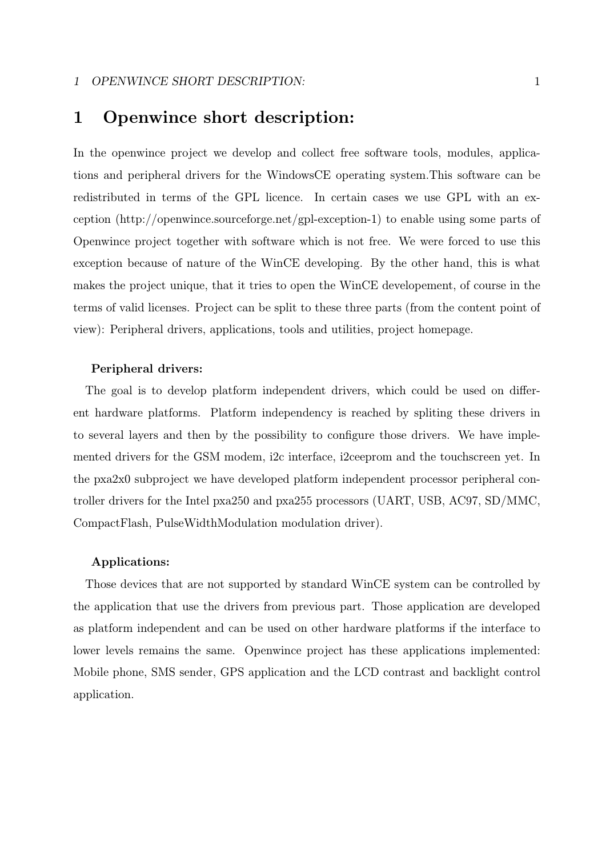### 1 OPENWINCE SHORT DESCRIPTION: 1

# 1 Openwince short description:

In the openwince project we develop and collect free software tools, modules, applications and peripheral drivers for the WindowsCE operating system.This software can be redistributed in terms of the GPL licence. In certain cases we use GPL with an exception (http://openwince.sourceforge.net/gpl-exception-1) to enable using some parts of Openwince project together with software which is not free. We were forced to use this exception because of nature of the WinCE developing. By the other hand, this is what makes the project unique, that it tries to open the WinCE developement, of course in the terms of valid licenses. Project can be split to these three parts (from the content point of view): Peripheral drivers, applications, tools and utilities, project homepage.

### Peripheral drivers:

The goal is to develop platform independent drivers, which could be used on different hardware platforms. Platform independency is reached by spliting these drivers in to several layers and then by the possibility to configure those drivers. We have implemented drivers for the GSM modem, i2c interface, i2ceeprom and the touchscreen yet. In the pxa2x0 subproject we have developed platform independent processor peripheral controller drivers for the Intel pxa250 and pxa255 processors (UART, USB, AC97, SD/MMC, CompactFlash, PulseWidthModulation modulation driver).

### Applications:

Those devices that are not supported by standard WinCE system can be controlled by the application that use the drivers from previous part. Those application are developed as platform independent and can be used on other hardware platforms if the interface to lower levels remains the same. Openwince project has these applications implemented: Mobile phone, SMS sender, GPS application and the LCD contrast and backlight control application.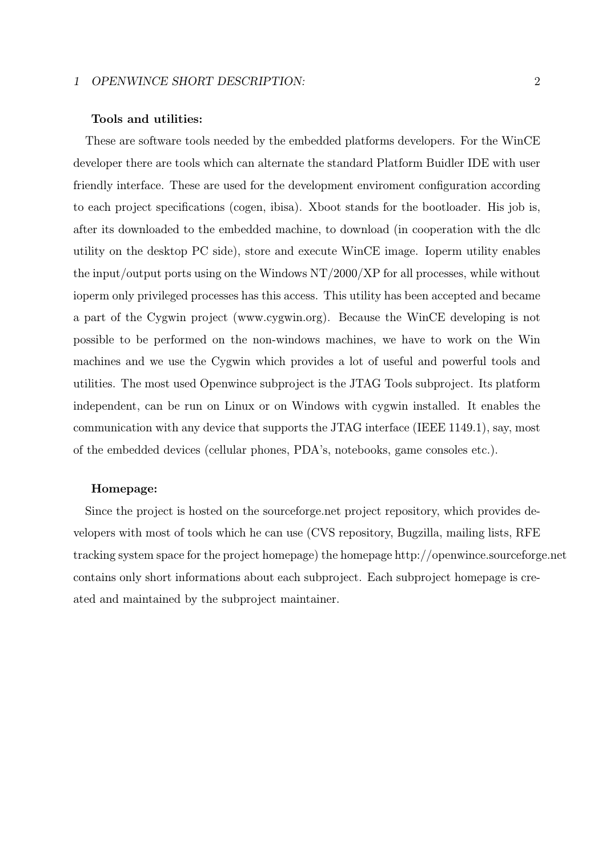### 1 OPENWINCE SHORT DESCRIPTION: 2

#### Tools and utilities:

These are software tools needed by the embedded platforms developers. For the WinCE developer there are tools which can alternate the standard Platform Buidler IDE with user friendly interface. These are used for the development enviroment configuration according to each project specifications (cogen, ibisa). Xboot stands for the bootloader. His job is, after its downloaded to the embedded machine, to download (in cooperation with the dlc utility on the desktop PC side), store and execute WinCE image. Ioperm utility enables the input/output ports using on the Windows NT/2000/XP for all processes, while without ioperm only privileged processes has this access. This utility has been accepted and became a part of the Cygwin project (www.cygwin.org). Because the WinCE developing is not possible to be performed on the non-windows machines, we have to work on the Win machines and we use the Cygwin which provides a lot of useful and powerful tools and utilities. The most used Openwince subproject is the JTAG Tools subproject. Its platform independent, can be run on Linux or on Windows with cygwin installed. It enables the communication with any device that supports the JTAG interface (IEEE 1149.1), say, most of the embedded devices (cellular phones, PDA's, notebooks, game consoles etc.).

### Homepage:

Since the project is hosted on the sourceforge.net project repository, which provides developers with most of tools which he can use (CVS repository, Bugzilla, mailing lists, RFE tracking system space for the project homepage) the homepage http://openwince.sourceforge.net contains only short informations about each subproject. Each subproject homepage is created and maintained by the subproject maintainer.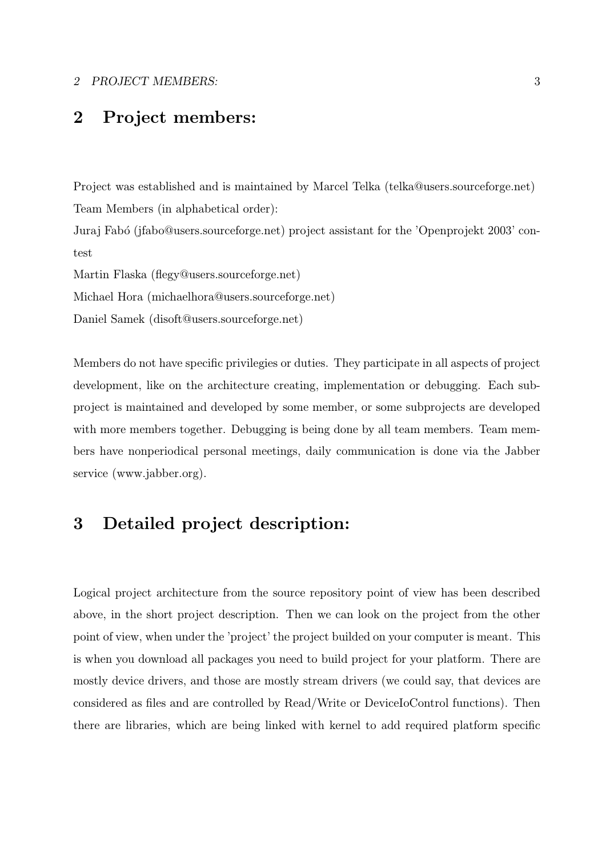### 2 PROJECT MEMBERS: 3

# 2 Project members:

Project was established and is maintained by Marcel Telka (telka@users.sourceforge.net) Team Members (in alphabetical order):

Juraj Fabó (jfabo@users.sourceforge.net) project assistant for the 'Openprojekt 2003' contest

Martin Flaska (flegy@users.sourceforge.net)

Michael Hora (michaelhora@users.sourceforge.net)

Daniel Samek (disoft@users.sourceforge.net)

Members do not have specific privilegies or duties. They participate in all aspects of project development, like on the architecture creating, implementation or debugging. Each subproject is maintained and developed by some member, or some subprojects are developed with more members together. Debugging is being done by all team members. Team members have nonperiodical personal meetings, daily communication is done via the Jabber service (www.jabber.org).

# 3 Detailed project description:

Logical project architecture from the source repository point of view has been described above, in the short project description. Then we can look on the project from the other point of view, when under the 'project' the project builded on your computer is meant. This is when you download all packages you need to build project for your platform. There are mostly device drivers, and those are mostly stream drivers (we could say, that devices are considered as files and are controlled by Read/Write or DeviceIoControl functions). Then there are libraries, which are being linked with kernel to add required platform specific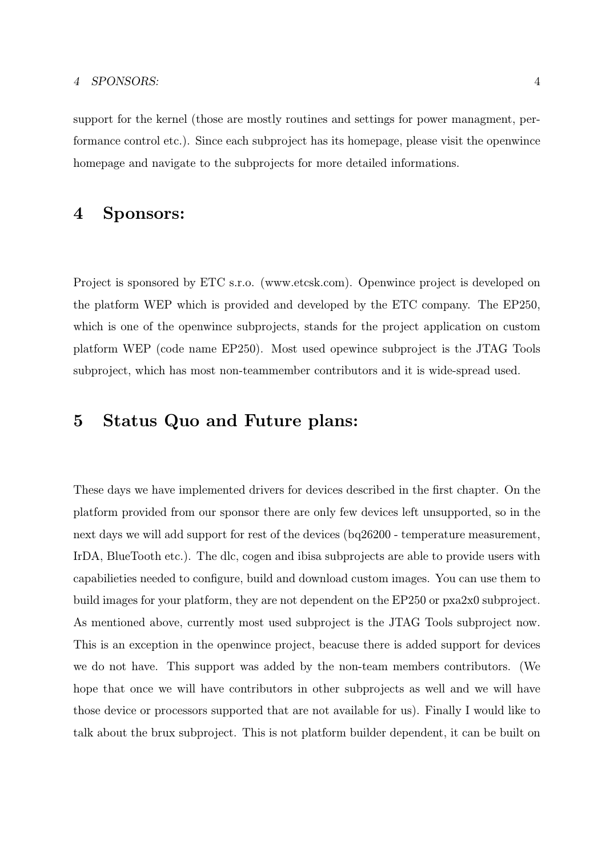#### 4 SPONSORS: 4

support for the kernel (those are mostly routines and settings for power managment, performance control etc.). Since each subproject has its homepage, please visit the openwince homepage and navigate to the subprojects for more detailed informations.

# 4 Sponsors:

Project is sponsored by ETC s.r.o. (www.etcsk.com). Openwince project is developed on the platform WEP which is provided and developed by the ETC company. The EP250, which is one of the openwince subprojects, stands for the project application on custom platform WEP (code name EP250). Most used opewince subproject is the JTAG Tools subproject, which has most non-teammember contributors and it is wide-spread used.

# 5 Status Quo and Future plans:

These days we have implemented drivers for devices described in the first chapter. On the platform provided from our sponsor there are only few devices left unsupported, so in the next days we will add support for rest of the devices (bq26200 - temperature measurement, IrDA, BlueTooth etc.). The dlc, cogen and ibisa subprojects are able to provide users with capabilieties needed to configure, build and download custom images. You can use them to build images for your platform, they are not dependent on the EP250 or pxa2x0 subproject. As mentioned above, currently most used subproject is the JTAG Tools subproject now. This is an exception in the openwince project, beacuse there is added support for devices we do not have. This support was added by the non-team members contributors. (We hope that once we will have contributors in other subprojects as well and we will have those device or processors supported that are not available for us). Finally I would like to talk about the brux subproject. This is not platform builder dependent, it can be built on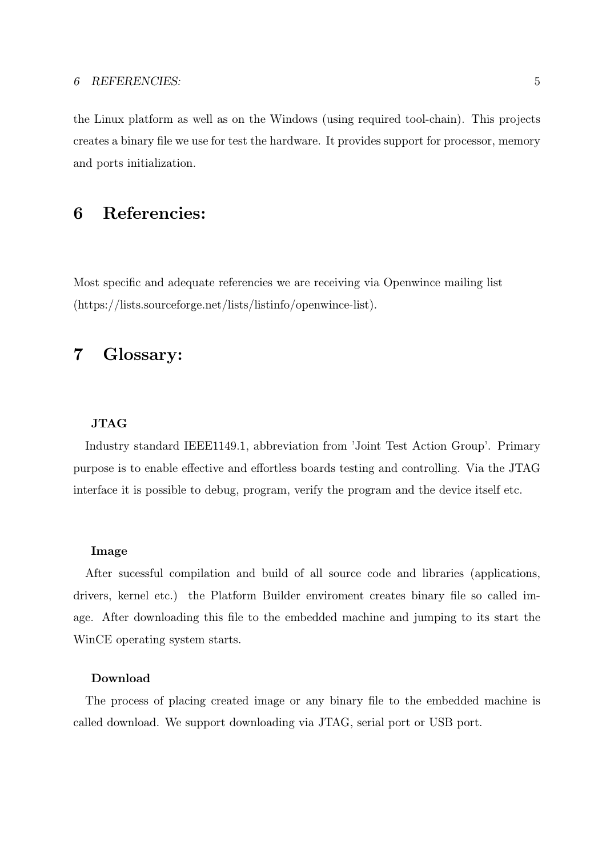the Linux platform as well as on the Windows (using required tool-chain). This projects creates a binary file we use for test the hardware. It provides support for processor, memory and ports initialization.

# 6 Referencies:

Most specific and adequate referencies we are receiving via Openwince mailing list (https://lists.sourceforge.net/lists/listinfo/openwince-list).

# 7 Glossary:

## JTAG

Industry standard IEEE1149.1, abbreviation from 'Joint Test Action Group'. Primary purpose is to enable effective and effortless boards testing and controlling. Via the JTAG interface it is possible to debug, program, verify the program and the device itself etc.

### Image

After sucessful compilation and build of all source code and libraries (applications, drivers, kernel etc.) the Platform Builder enviroment creates binary file so called image. After downloading this file to the embedded machine and jumping to its start the WinCE operating system starts.

### Download

The process of placing created image or any binary file to the embedded machine is called download. We support downloading via JTAG, serial port or USB port.